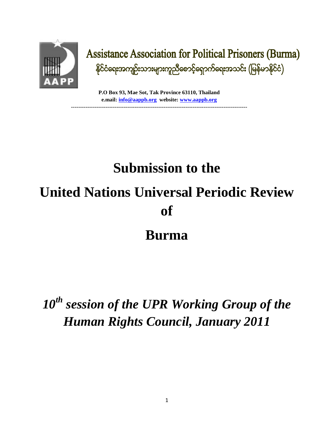

### **Assistance Association for Political Prisoners (Burma)** နိုင်ငံရေးအကျဉ်းသားများကူညီစောင့်ရှောက်ရေးအသင်း (မြန်မာနိုင်ငံ)

**P.O Box 93, Mae Sot, Tak Province 63110, Thailand e.mail: info@aappb.org website: www.aappb.org -------------------------------------------------------------------------------------------------**

# **Submission to the United Nations Universal Periodic Review of**

### **Burma**

## *10th session of the UPR Working Group of the Human Rights Council, January 2011*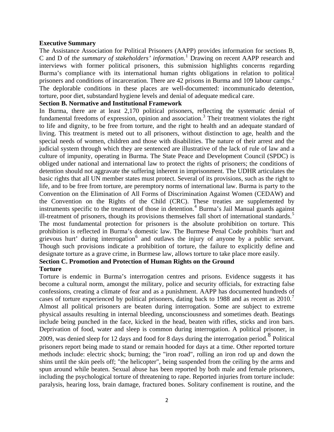#### **Executive Summary**

The Assistance Association for Political Prisoners (AAPP) provides information for sections B, C and D of *the summary of stakeholders' information*.<sup>1</sup> Drawing on recent AAPP research and interviews with former political prisoners, this submission highlights concerns regarding Burma's compliance with its international human rights obligations in relation to political prisoners and conditions of incarceration. There are 42 prisons in Burma and 109 labour camps.<sup>2</sup> The deplorable conditions in these places are well-documented: incommunicado detention, torture, poor diet, substandard hygiene levels and denial of adequate medical care.

#### **Section B. Normative and Institutional Framework**

In Burma, there are at least 2,170 political prisoners, reflecting the systematic denial of fundamental freedoms of expression, opinion and association.<sup>3</sup> Their treatment violates the right to life and dignity, to be free from torture, and the right to health and an adequate standard of living. This treatment is meted out to all prisoners, without distinction to age, health and the special needs of women, children and those with disabilities. The nature of their arrest and the judicial system through which they are sentenced are illustrative of the lack of rule of law and a culture of impunity, operating in Burma. The State Peace and Development Council (SPDC) is obliged under national and international law to protect the rights of prisoners; the conditions of detention should not aggravate the suffering inherent in imprisonment. The UDHR articulates the basic rights that all UN member states must protect. Several of its provisions, such as the right to life, and to be free from torture, are peremptory norms of international law. Burma is party to the Convention on the Elimination of All Forms of Discrimination Against Women (CEDAW) and the Convention on the Rights of the Child (CRC). These treaties are supplemented by instruments specific to the treatment of those in detention.<sup>4</sup> Burma's Jail Manual guards against ill-treatment of prisoners, though its provisions themselves fall short of international standards.<sup>5</sup> The most fundamental protection for prisoners is the absolute prohibition on torture. This prohibition is reflected in Burma's domestic law. The Burmese Penal Code prohibits 'hurt and grievous hurt' during interrogation<sup>6</sup> and outlaws the injury of anyone by a public servant. Though such provisions indicate a prohibition of torture, the failure to explicitly define and designate torture as a grave crime, in Burmese law, allows torture to take place more easily.

#### **Section C. Promotion and Protection of Human Rights on the Ground**

#### **Torture**

Torture is endemic in Burma's interrogation centres and prisons. Evidence suggests it has become a cultural norm, amongst the military, police and security officials, for extracting false confessions, creating a climate of fear and as a punishment. AAPP has documented hundreds of cases of torture experienced by political prisoners, dating back to 1988 and as recent as  $2010$ .<sup>7</sup> Almost all political prisoners are beaten during interrogation. Some are subject to extreme physical assaults resulting in internal bleeding, unconsciousness and sometimes death. Beatings include being punched in the face, kicked in the head, beaten with rifles, sticks and iron bars. Deprivation of food, water and sleep is common during interrogation. A political prisoner, in  $2009$ , was denied sleep for 12 days and food for 8 days during the interrogation period. <sup>8</sup> Political prisoners report being made to stand or remain hooded for days at a time. Other reported torture methods include: electric shock; burning; the "iron road", rolling an iron rod up and down the shins until the skin peels off; "the helicopter", being suspended from the ceiling by the arms and spun around while beaten. Sexual abuse has been reported by both male and female prisoners, including the psychological torture of threatening to rape. Reported injuries from torture include: paralysis, hearing loss, brain damage, fractured bones. Solitary confinement is routine, and the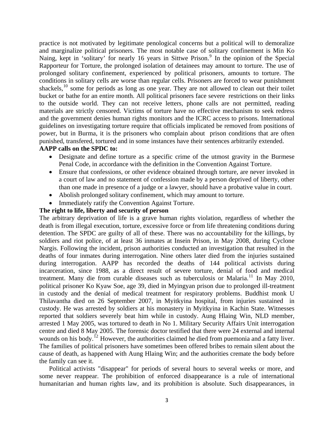practice is not motivated by legitimate penological concerns but a political will to demoralize and marginalize political prisoners. The most notable case of solitary confinement is Min Ko Naing, kept in 'solitary' for nearly 16 years in Sittwe Prison.<sup>9</sup> In the opinion of the Special Rapporteur for Torture, the prolonged isolation of detainees may amount to torture. The use of prolonged solitary confinement, experienced by political prisoners, amounts to torture. The conditions in solitary cells are worse than regular cells. Prisoners are forced to wear punishment shackels,  $10$  some for periods as long as one year. They are not allowed to clean out their toilet bucket or bathe for an entire month. All political prisoners face severe restrictions on their links to the outside world. They can not receive letters, phone calls are not permitted, reading materials are strictly censored. Victims of torture have no effective mechanism to seek redress and the government denies human rights monitors and the ICRC access to prisons. International guidelines on investigating torture require that officials implicated be removed from positions of power, but in Burma, it is the prisoners who complain about prison conditions that are often punished, transfered, tortured and in some instances have their sentences arbitrarily extended.

#### **AAPP calls on the SPDC to:**

- Designate and define torture as a specific crime of the utmost gravity in the Burmese Penal Code, in accordance with the definition in the Convention Against Torture.
- Ensure that confessions, or other evidence obtained through torture, are never invoked in a court of law and no statement of confession made by a person deprived of liberty, other than one made in presence of a judge or a lawyer, should have a probative value in court.
- Abolish prolonged solitary confinement, which may amount to torture.
- Immediately ratify the Convention Against Torture.

#### **The right to life, liberty and security of person**

The arbitrary deprivation of life is a grave human rights violation, regardless of whether the death is from illegal execution, torture, excessive force or from life threatening conditions during detention. The SPDC are guilty of all of these. There was no accountability for the killings, by soldiers and riot police, of at least 36 inmates at Insein Prison, in May 2008, during Cyclone Nargis. Following the incident, prison authorities conducted an investigation that resulted in the deaths of four inmates during interrogation. Nine others later died from the injuries sustained during interrogation. AAPP has recorded the deaths of 144 political activists during incarceration, since 1988, as a direct result of severe torture, denial of food and medical treatment. Many die from curable diseases such as tuberculosis or Malaria.<sup>11</sup> In May 2010, political prisoner Ko Kyaw Soe, age 39, died in Myingyan prison due to prolonged ill-treatment in custody and the denial of medical treatment for respiratory problems. Buddhist monk U Thilavantha died on 26 September 2007, in Myitkyina hospital, from injuries sustained in custody. He was arrested by soldiers at his monastery in Myitkyina in Kachin State. Witnesses reported that soldiers severely beat him while in custody. Aung Hlaing Win, NLD member, arrested 1 May 2005, was tortured to death in No 1. Military Security Affairs Unit interrogation centre and died 8 May 2005. The forensic doctor testified that there were 24 external and internal wounds on his body.<sup>12</sup> However, the authorities claimed he died from puemonia and a fatty liver. The families of political prisoners have sometimes been offered bribes to remain silent about the cause of death, as happened with Aung Hlaing Win; and the authorities cremate the body before the family can see it.

Political activists "disappear" for periods of several hours to several weeks or more, and some never reappear. The prohibition of enforced disappearance is a rule of international humanitarian and human rights law, and its prohibition is absolute. Such disappearances, in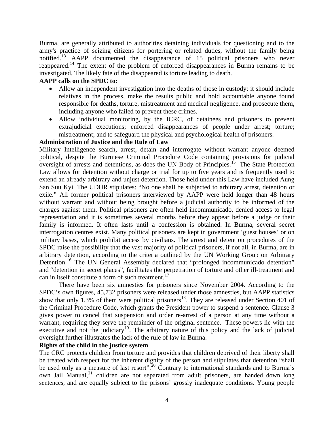Burma, are generally attributed to authorities detaining individuals for questioning and to the army's practice of seizing citizens for portering or related duties, without the family being notified.<sup>13</sup> AAPP documented the disappearance of 15 political prisoners who never reappeared.<sup>14</sup> The extent of the problem of enforced disappearances in Burma remains to be investigated. The likely fate of the disappeared is torture leading to death.

#### **AAPP calls on the SPDC to:**

- Allow an independent investigation into the deaths of those in custody; it should include relatives in the process, make the results public and hold accountable anyone found responsible for deaths, torture, mistreatment and medical negligence, and prosecute them, including anyone who failed to prevent these crimes.
- Allow individual monitoring, by the ICRC, of detainees and prisoners to prevent extrajudicial executions; enforced disappearances of people under arrest; torture; mistreatment; and to safeguard the physical and psychological health of prisoners.

#### **Administration of Justice and the Rule of Law**

Military Intelligence search, arrest, detain and interrogate without warrant anyone deemed political, despite the Burmese Criminal Procedure Code containing provisions for judicial oversight of arrests and detentions, as does the UN Body of Principles.<sup>15</sup> The State Protection Law allows for detention without charge or trial for up to five years and is frequently used to extend an already arbitrary and unjust detention. Those held under this Law have included Aung San Suu Kyi. The UDHR stipulates: "No one shall be subjected to arbitrary arrest, detention or exile." All former political prisoners interviewed by AAPP were held longer than 48 hours without warrant and without being brought before a judicial authority to be informed of the charges against them. Political prisoners are often held incommunicado, denied access to legal representation and it is sometimes several months before they appear before a judge or their family is informed. It often lasts until a confession is obtained. In Burma, several secret interrogation centres exist. Many political prisoners are kept in government 'guest houses' or on military bases, which prohibit access by civilians. The arrest and detention procedures of the SPDC raise the possibility that the vast majority of political prisoners, if not all, in Burma, are in arbitrary detention, according to the criteria outlined by the UN Working Group on Arbitrary Detention.<sup>16</sup> The UN General Assembly declared that "prolonged incommunicado detention" and "detention in secret places", facilitates the perpetration of torture and other ill-treatment and can in itself constitute a form of such treatment.<sup>17</sup>

There have been six amnesties for prisoners since November 2004. According to the SPDC's own figures, 45,732 prisoners were released under those amnesties, but AAPP statistics show that only 1.3% of them were political prisoners<sup>18</sup>. They are released under Section 401 of the Criminal Procedure Code, which grants the President power to suspend a sentence. Clause 3 gives power to cancel that suspension and order re-arrest of a person at any time without a warrant, requiring they serve the remainder of the original sentence. These powers lie with the executive and not the judiciary<sup>19</sup>. The arbitrary nature of this policy and the lack of judicial oversight further illustrates the lack of the rule of law in Burma.

#### **Rights of the child in the justice system**

The CRC protects children from torture and provides that children deprived of their liberty shall be treated with respect for the inherent dignity of the person and stipulates that detention "shall be used only as a measure of last resort".<sup>20</sup> Contrary to international standards and to Burma's own Jail Manual,<sup>21</sup> children are not separated from adult prisoners, are handed down long sentences, and are equally subject to the prisons' grossly inadequate conditions. Young people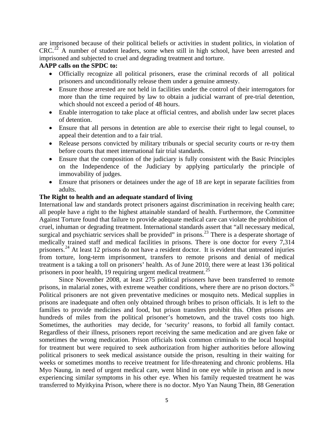are imprisoned because of their political beliefs or activities in student politics, in violation of  $CRC<sup>22</sup>$  A number of student leaders, some when still in high school, have been arrested and imprisoned and subjected to cruel and degrading treatment and torture.

#### **AAPP calls on the SPDC to:**

- Officially recognize all political prisoners, erase the criminal records of all political prisoners and unconditionally release them under a genuine amnesty.
- Ensure those arrested are not held in facilities under the control of their interrogators for more than the time required by law to obtain a judicial warrant of pre-trial detention, which should not exceed a period of 48 hours.
- Enable interrogation to take place at official centres, and abolish under law secret places of detention.
- Ensure that all persons in detention are able to exercise their right to legal counsel, to appeal their detention and to a fair trial.
- Release persons convicted by military tribunals or special security courts or re-try them before courts that meet international fair trial standards.
- Ensure that the composition of the judiciary is fully consistent with the Basic Principles on the Independence of the Judiciary by applying particularly the principle of immovability of judges.
- Ensure that prisoners or detainees under the age of 18 are kept in separate facilities from adults.

#### **The Right to health and an adequate standard of living**

International law and standards protect prisoners against discrimination in receiving health care; all people have a right to the highest attainable standard of health. Furthermore, the Committee Against Torture found that failure to provide adequate medical care can violate the prohibition of cruel, inhuman or degrading treatment. International standards assert that "all necessary medical, surgical and psychiatric services shall be provided" in prisons.<sup>23</sup> There is a desperate shortage of medically trained staff and medical facilities in prisons. There is one doctor for every 7,314 prisoners.<sup>24</sup> At least 12 prisons do not have a resident doctor. It is evident that untreated injuries from torture, long-term imprisonment, transfers to remote prisons and denial of medical treatment is a taking a toll on prisoners' health. As of June 2010, there were at least 136 political prisoners in poor health, 19 requiring urgent medical treatment.<sup>25</sup>

Since November 2008, at least 275 political prisoners have been transferred to remote prisons, in malarial zones, with extreme weather conditions, where there are no prison doctors.<sup>26</sup> Political prisoners are not given preventative medicines or mosquito nets. Medical supplies in prisons are inadequate and often only obtained through bribes to prison officials. It is left to the families to provide medicines and food, but prison transfers prohibit this. Often prisons are hundreds of miles from the political prisoner's hometown, and the travel costs too high. Sometimes, the authorities may decide, for 'security' reasons, to forbid all family contact. Regardless of their illness, prisoners report receiving the same medication and are given fake or sometimes the wrong medication. Prison officials took common criminals to the local hospital for treatment but were required to seek authorization from higher authorities before allowing political prisoners to seek medical assistance outside the prison, resulting in their waiting for weeks or sometimes months to receive treatment for life-threatening and chronic problems. Hla Myo Naung, in need of urgent medical care, went blind in one eye while in prison and is now experiencing similar symptoms in his other eye. When his family requested treatment he was transferred to Myitkyina Prison, where there is no doctor. Myo Yan Naung Thein, 88 Generation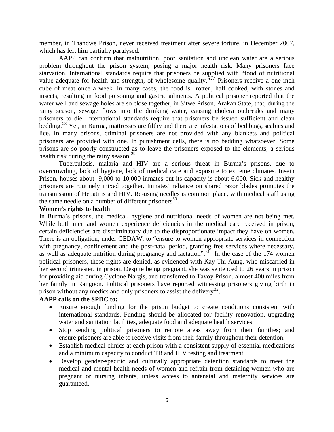member, in Thandwe Prison, never received treatment after severe torture, in December 2007, which has left him partially paralysed.

AAPP can confirm that malnutrition, poor sanitation and unclean water are a serious problem throughout the prison system, posing a major health risk. Many prisoners face starvation. International standards require that prisoners be supplied with "food of nutritional value adequate for health and strength, of wholesome quality.<sup> $\frac{327}{27}$ </sup> Prisoners receive a one inch cube of meat once a week. In many cases, the food is rotten, half cooked, with stones and insects, resulting in food poisoning and gastric ailments. A political prisoner reported that the water well and sewage holes are so close together, in Sitwe Prison, Arakan State, that, during the rainy season, sewage flows into the drinking water, causing cholera outbreaks and many prisoners to die. International standards require that prisoners be issued sufficient and clean bedding.<sup>28</sup> Yet, in Burma, mattresses are filthy and there are infestations of bed bugs, scabies and lice. In many prisons, criminal prisoners are not provided with any blankets and political prisoners are provided with one. In punishment cells, there is no bedding whatsoever. Some prisons are so poorly constructed as to leave the prisoners exposed to the elements, a serious health risk during the rainy season. $^{29}$ 

Tuberculosis, malaria and HIV are a serious threat in Burma's prisons, due to overcrowding, lack of hygiene, lack of medical care and exposure to extreme climates. Insein Prison, houses about 9,000 to 10,000 inmates but its capacity is about 6,000. Sick and healthy prisoners are routinely mixed together. Inmates' reliance on shared razor blades promotes the transmission of Hepatitis and HIV. Re-using needles is common place, with medical staff using the same needle on a number of different prisoners<sup>30</sup>.

#### **Women's rights to health**

In Burma's prisons, the medical, hygiene and nutritional needs of women are not being met. While both men and women experience deficiencies in the medical care received in prison, certain deficiencies are discriminatory due to the disproportionate impact they have on women. There is an obligation, under CEDAW, to "ensure to women appropriate services in connection with pregnancy, confinement and the post-natal period, granting free services where necessary, as well as adequate nutrition during pregnancy and lactation".<sup>31</sup> In the case of the 174 women political prisoners, these rights are denied, as evidenced with Kay Thi Aung, who miscarried in her second trimester, in prison. Despite being pregnant, she was sentenced to 26 years in prison for providing aid during Cyclone Nargis, and transferred to Tavoy Prison, almost 400 miles from her family in Rangoon. Political prisoners have reported witnessing prisoners giving birth in prison without any medics and only prisoners to assist the delivery<sup>32</sup>.

#### **AAPP calls on the SPDC to:**

- Ensure enough funding for the prison budget to create conditions consistent with international standards. Funding should be allocated for facility renovation, upgrading water and sanitation facilities, adequate food and adequate health services.
- Stop sending political prisoners to remote areas away from their families; and ensure prisoners are able to receive visits from their family throughout their detention.
- Establish medical clinics at each prison with a consistent supply of essential medications and a minimum capacity to conduct TB and HIV testing and treatment.
- Develop gender-specific and culturally appropriate detention standards to meet the medical and mental health needs of women and refrain from detaining women who are pregnant or nursing infants, unless access to antenatal and maternity services are guaranteed.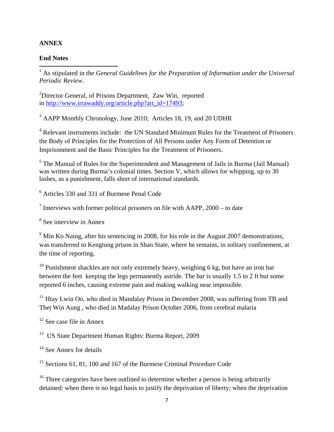#### **ANNEX**

#### **End Notes**

<sup>1</sup> As stipulated in the *General Guidelines for the Preparation of Information under the Universal Periodic Review*.

<sup>2</sup>Director General, of Prisons Department, Zaw Win, reported in http://www.irrawaddy.org/article.php?art\_id=17493;

<sup>3</sup> AAPP Monthly Chronology, June 2010; Articles 18, 19, and 20 UDHR

<sup>4</sup> Relevant instruments include: the UN Standard Minimum Rules for the Treatment of Prisoners the Body of Principles for the Protection of All Persons under Any Form of Detention or Imprisonment and the Basic Principles for the Treatment of Prisoners.

 $<sup>5</sup>$  The Manual of Rules for the Superintendent and Management of Jails in Burma (Jail Manual)</sup> was written during Burma's colonial times. Section V, which allows for whipping, up to 30 lashes, as a punishment, falls short of international standards.

6 Articles 330 and 331 of Burmese Penal Code

<sup>7</sup> Interviews with former political prisoners on file with AAPP,  $2000 -$  to date

8 See interview in Annex

 $9$  Min Ko Naing, after his sentencing in 2008, for his role in the August 2007 demonstrations, was transferred to Kengtung prison in Shan State, where he remains, in solitary confinement, at the time of reporting.

 $10$  Punishment shackles are not only extremely heavy, weighing 6 kg, but have an iron bar between the feet keeping the legs permanently astride. The bar is usually 1.5 to 2 ft but some reported 6 inches, causing extreme pain and making walking near impossible.

 $11$  Htay Lwin Oo, who died in Mandalay Prison in December 2008, was suffering from TB and Thet Win Aung , who died in Madalay Prison October 2006, from cerebral malaria

 $12$  See case file in Annex

<sup>13</sup> US State Department Human Rights: Burma Report, 2009

 $14$  See Annex for details

<sup>15</sup> Sections 61, 81, 100 and 167 of the Burmese Criminal Procedure Code

<sup>16</sup> Three categories have been outlined to determine whether a person is being arbitrarily detained: when there is no legal basis to justify the deprivation of liberty; when the deprivation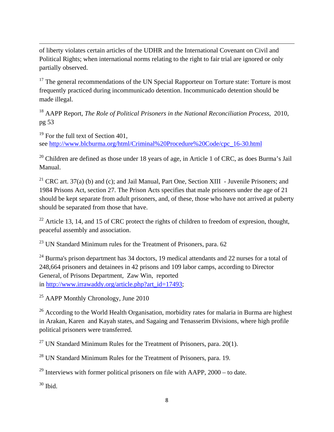of liberty violates certain articles of the UDHR and the International Covenant on Civil and Political Rights; when international norms relating to the right to fair trial are ignored or only partially observed.

<u> 1989 - Johann Stoff, amerikansk politiker (d. 1989)</u>

 $17$  The general recommendations of the UN Special Rapporteur on Torture state: Torture is most frequently practiced during incommunicado detention. Incommunicado detention should be made illegal.

18 AAPP Report, *The Role of Political Prisoners in the National Reconciliation Process*, 2010, pg 53

 $19$  For the full text of Section 401. see http://www.blcburma.org/html/Criminal%20Procedure%20Code/cpc\_16-30.html

 $20$  Children are defined as those under 18 years of age, in Article 1 of CRC, as does Burma's Jail Manual.

<sup>21</sup> CRC art. 37(a) (b) and (c); and Jail Manual, Part One, Section XIII - Juvenile Prisoners; and 1984 Prisons Act, section 27. The Prison Acts specifies that male prisoners under the age of 21 should be kept separate from adult prisoners, and, of these, those who have not arrived at puberty should be separated from those that have.

 $^{22}$  Article 13, 14, and 15 of CRC protect the rights of children to freedom of expresion, thought, peaceful assembly and association.

 $23$  UN Standard Minimum rules for the Treatment of Prisoners, para. 62

 $^{24}$  Burma's prison department has 34 doctors, 19 medical attendants and 22 nurses for a total of 248,664 prisoners and detainees in 42 prisons and 109 labor camps, according to Director General, of Prisons Department, Zaw Win, reported in http://www.irrawaddy.org/article.php?art\_id=17493;

 $25$  AAPP Monthly Chronology, June 2010

 $26$  According to the World Health Organisation, morbidity rates for malaria in Burma are highest in Arakan, Karen and Kayah states, and Sagaing and Tenasserim Divisions, where high profile political prisoners were transferred.

<sup>27</sup> UN Standard Minimum Rules for the Treatment of Prisoners, para.  $20(1)$ .

<sup>28</sup> UN Standard Minimum Rules for the Treatment of Prisoners, para. 19.

 $^{29}$  Interviews with former political prisoners on file with AAPP, 2000 – to date.

30 Ibid.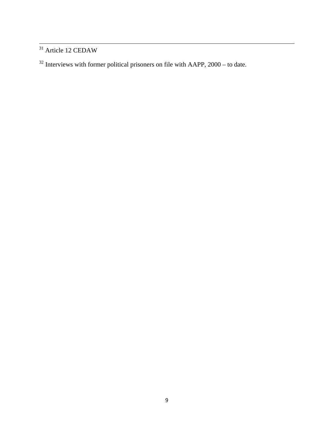<sup>31</sup> Article 12 CEDAW

Interviews with former political prisoners on file with AAPP, 2000 – to date.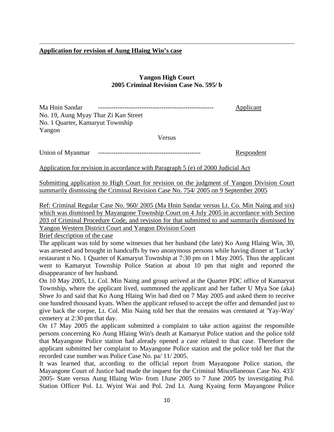#### <sup>U</sup>**Application for revision of Aung Hlaing Win's case**

#### **Yangon High Court 2005 Criminal Revision Case No. 595/ b**

<u> Andrewski politika (za obrazu za obrazu za obrazu za obrazu za obrazu za obrazu za obrazu za obrazu za obrazu</u>

Ma Hnin Sandar ----------------------------------------------------- UApplicant No. 19, Aung Myay Thar Zi Kan Street No. 1 Quarter, Kamaryut Township Yangon

Versus

Union of Myanmar ----------------------------------------------- URespondent

Application for revision in accordance with Paragraph 5 (e) of 2000 Judicial Act

Submitting application to High Court for revision on the judgment of Yangon Division Court summarily dismissing the Criminal Revision Case No. 754/ 2005 on 9 September 2005

Ref: Criminal Regular Case No. 960/2005 (Ma Hnin Sandar versus Lt. Co. Min Naing and six) which was dismissed by Mayangone Township Court on 4 July 2005 in accordance with Section 203 of Criminal Procedure Code, and revision for that submitted to and summarily dismissed by Yangon Western District Court and Yangon Division Court

Brief description of the case

The applicant was told by some witnesses that her husband (the late) Ko Aung Hlaing Win, 30, was arrested and brought in handcuffs by two anonymous persons while having dinner at 'Lucky' restaurant n No. 1 Quarter of Kamaryut Township at 7:30 pm on 1 May 2005. Thus the applicant went to Kamaryut Township Police Station at about 10 pm that night and reported the disappearance of her husband.

On 10 May 2005, Lt. Col. Min Naing and group arrived at the Quarter PDC office of Kamaryut Township, where the applicant lived, summoned the applicant and her father U Mya Soe (aka) Shwe Jo and said that Ko Aung Hlaing Win had died on 7 May 2005 and asked them to receive one hundred thousand kyats. When the applicant refused to accept the offer and demanded just to give back the corpse, Lt. Col. Min Naing told her that the remains was cremated at 'Yay-Way' cemetery at 2:30 pm that day.

On 17 May 2005 the applicant submitted a complaint to take action against the responsible persons concerning Ko Aung Hlaing Win's death at Kamaryut Police station and the police told that Mayangone Police station had already opened a case related to that case. Therefore the applicant submitted her complaint to Mayangone Police station and the police told her that the recorded case number was Police Case No. pa/ 11/ 2005.

It was learned that, according to the official report from Mayangone Police station, the Mayangone Court of Justice had made the inquest for the Criminal Miscellaneous Case No. 433/ 2005- State versus Aung Hlaing Win- from 1June 2005 to 7 June 2005 by investigating Pol. Station Officer Pol. Lt. Wyint Wai and Pol. 2nd Lt. Aung Kyaing form Mayangone Police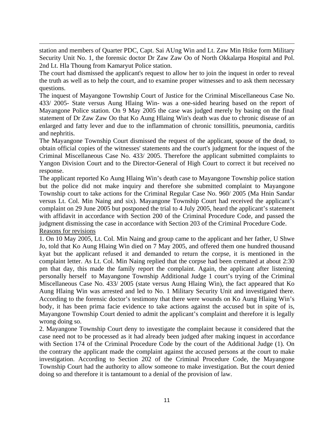station and members of Quarter PDC, Capt. Sai AUng Win and Lt. Zaw Min Htike form Military Security Unit No. 1, the forensic doctor Dr Zaw Zaw Oo of North Okkalarpa Hospital and Pol. 2nd Lt. Hla Thoung from Kamaryut Police station.

<u> Andrewski politika (za obrazu za obrazu za obrazu za obrazu za obrazu za obrazu za obrazu za obrazu za obrazu</u>

The court had dismissed the applicant's request to allow her to join the inquest in order to reveal the truth as well as to help the court, and to examine proper witnesses and to ask them necessary questions.

The inquest of Mayangone Township Court of Justice for the Criminal Miscellaneous Case No. 433/ 2005- State versus Aung Hlaing Win- was a one-sided hearing based on the report of Mayangone Police station. On 9 May 2005 the case was judged merely by basing on the final statement of Dr Zaw Zaw Oo that Ko Aung Hlaing Win's death was due to chronic disease of an enlarged and fatty lever and due to the inflammation of chronic tonsillitis, pneumonia, carditis and nephritis.

The Mayangone Township Court dismissed the request of the applicant, spouse of the dead, to obtain official copies of the witnesses' statements and the court's judgment for the inquest of the Criminal Miscellaneous Case No. 433/ 2005. Therefore the applicant submitted complaints to Yangon Division Court and to the Director-General of High Court to correct it but received no response.

The applicant reported Ko Aung Hlaing Win's death case to Mayangone Township police station but the police did not make inquiry and therefore she submitted complaint to Mayangone Township court to take actions for the Criminal Regular Case No. 960/ 2005 (Ma Hnin Sandar versus Lt. Col. Min Naing and six). Mayangone Township Court had received the applicant's complaint on 29 June 2005 but postponed the trial to 4 July 2005, heard the applicant's statement with affidavit in accordance with Section 200 of the Criminal Procedure Code, and passed the judgment dismissing the case in accordance with Section 203 of the Criminal Procedure Code. Reasons for revisions

1. On 10 May 2005, Lt. Col. Min Naing and group came to the applicant and her father, U Shwe Jo, told that Ko Aung Hlaing Win died on 7 May 2005, and offered them one hundred thousand kyat but the applicant refused it and demanded to return the corpse, it is mentioned in the complaint letter. As Lt. Col. Min Naing replied that the corpse had been cremated at about 2:30 pm that day, this made the family report the complaint. Again, the applicant after listening personally herself to Mayangone Township Additional Judge 1 court's trying of the Criminal Miscellaneous Case No. 433/ 2005 (state versus Aung Hlaing Win), the fact appeared that Ko Aung Hlaing Win was arrested and led to No. 1 Military Security Unit and investigated there. According to the forensic doctor's testimony that there were wounds on Ko Aung Hlaing Win's body, it has been prima facie evidence to take actions against the accused but in spite of is, Mayangone Township Court denied to admit the applicant's complaint and therefore it is legally wrong doing so.

2. Mayangone Township Court deny to investigate the complaint because it considered that the case need not to be processed as it had already been judged after making inquest in accordance with Section 174 of the Criminal Procedure Code by the court of the Additional Judge (1). On the contrary the applicant made the complaint against the accused persons at the court to make investigation. According to Section 202 of the Criminal Procedure Code, the Mayangone Township Court had the authority to allow someone to make investigation. But the court denied doing so and therefore it is tantamount to a denial of the provision of law.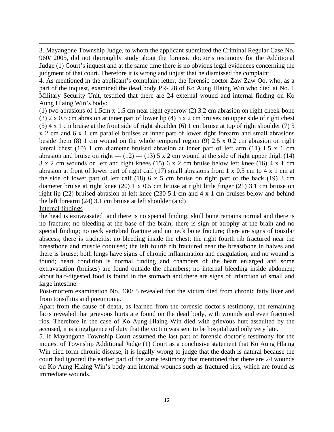3. Mayangone Township Judge, to whom the applicant submitted the Criminal Regular Case No. 960/ 2005, did not thoroughly study about the forensic doctor's testimony for the Additional Judge (1) Court's inquest and at the same time there is no obvious legal evidences concerning the judgment of that court. Therefore it is wrong and unjust that he dismissed the complaint.

<u> Andrewski politika (za obrazu za obrazu za obrazu za obrazu za obrazu za obrazu za obrazu za obrazu za obrazu</u>

4. As mentioned in the applicant's complaint letter, the forensic doctor Zaw Zaw Oo, who, as a part of the inquest, examined the dead body PR- 28 of Ko Aung Hlaing Win who died at No. 1 Military Security Unit, testified that there are 24 external wound and internal finding on Ko Aung Hlaing Win's body:

(1) two abrasions of 1.5cm x 1.5 cm near right eyebrow (2) 3.2 cm abrasion on right cheek-bone (3) 2 x 0.5 cm abrasion at inner part of lower lip (4) 3 x 2 cm bruises on upper side of right chest (5) 4 x 1 cm bruise at the front side of right shoulder (6) 1 cm bruise at top of right shoulder (7) 5 x 2 cm and 6 x 1 cm parallel bruises at inner part of lower right forearm and small abrasions beside them (8) 1 cm wound on the whole temporal region (9) 2.5 x 0.2 cm abrasion on right lateral chest (10) 1 cm diameter bruised abrasion at inner part of left arm (11) 1.5 x 1 cm abrasion and bruise on right ---  $(12)$  ---  $(13)$  5 x 2 cm wound at the side of right upper thigh  $(14)$ 3 x 2 cm wounds on left and right knees (15) 6 x 2 cm bruise below left knee (16) 4 x 1 cm abrasion at front of lower part of right calf (17) small abrasions from 1 x 0.5 cm to 4 x 1 cm at the side of lower part of left calf  $(18)$  6 x 5 cm bruise on right part of the back  $(19)$  3 cm diameter bruise at right knee (20) 1 x 0.5 cm bruise at right little finger (21) 3.1 cm bruise on right lip (22) bruised abrasion at left knee (230 5.1 cm and 4 x 1 cm bruises below and behind the left forearm (24) 3.1 cm bruise at left shoulder (and)

Internal findings

the head is extravasated and there is no special finding; skull bone remains normal and there is no fracture; no bleeding at the base of the brain; there is sign of atrophy at the brain and no special finding; no neck vertebral fracture and no neck bone fracture; there are signs of tonsilar abscess; there is tracheitis; no bleeding inside the chest; the right fourth rib fractured near the breastbone and muscle contused; the left fourth rib fractured near the breastbone in halves and there is bruise; both lungs have signs of chronic inflammation and coagulation, and no wound is found; heart condition is normal finding and chambers of the heart enlarged and some extravasation (bruises) are found outside the chambers; no internal bleeding inside abdomen; about half-digested food is found in the stomach and there are signs of infarction of small and large intestine.

Post-mortem examination No. 430/ 5 revealed that the victim died from chronic fatty liver and from tonsillitis and pneumonia.

Apart from the cause of death, as learned from the forensic doctor's testimony, the remaining facts revealed that grievous hurts are found on the dead body, with wounds and even fractured ribs. Therefore in the case of Ko Aung Hlaing Win died with grievous hurt assaulted by the accused, it is a negligence of duty that the victim was sent to be hospitalized only very late.

5. If Mayangone Township Court assumed the last part of forensic doctor's testimony for the inquest of Township Additional Judge (1) Court as a conclusive statement that Ko Aung Hlaing Win died form chronic disease, it is legally wrong to judge that the death is natural because the court had ignored the earlier part of the same testimony that mentioned that there are 24 wounds on Ko Aung Hlaing Win's body and internal wounds such as fractured ribs, which are found as immediate wounds.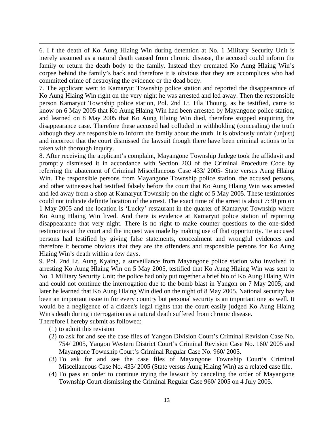6. I f the death of Ko Aung Hlaing Win during detention at No. 1 Military Security Unit is merely assumed as a natural death caused from chronic disease, the accused could inform the family or return the death body to the family. Instead they cremated Ko Aung Hlaing Win's corpse behind the family's back and therefore it is obvious that they are accomplices who had committed crime of destroying the evidence or the dead body.

<u> Andrewski politika (za obrazu za obrazu za obrazu za obrazu za obrazu za obrazu za obrazu za obrazu za obrazu</u>

7. The applicant went to Kamaryut Township police station and reported the disappearance of Ko Aung Hlaing Win right on the very night he was arrested and led away. Then the responsible person Kamaryut Township police station, Pol. 2nd Lt. Hla Thoung, as he testified, came to know on 6 May 2005 that Ko Aung Hlaing Win had been arrested by Mayangone police station, and learned on 8 May 2005 that Ko Aung Hlaing Win died, therefore stopped enquiring the disappearance case. Therefore these accused had colluded in withholding (concealing) the truth although they are responsible to inform the family about the truth. It is obviously unfair (unjust) and incorrect that the court dismissed the lawsuit though there have been criminal actions to be taken with thorough inquiry.

8. After receiving the applicant's complaint, Mayangone Township Judege took the affidavit and promptly dismissed it in accordance with Section 203 of the Criminal Procedure Code by referring the abatement of Criminal Miscellaneous Case 433/ 2005- State versus Aung Hlaing Win. The responsible persons from Mayangone Township police station, the accused persons, and other witnesses had testified falsely before the court that Ko Aung Hlaing Win was arrested and led away from a shop at Kamaryut Township on the night of 5 May 2005. These testimonies could not indicate definite location of the arrest. The exact time of the arrest is about 7:30 pm on 1 May 2005 and the location is 'Lucky' restaurant in the quarter of Kamaryut Township where Ko Aung Hlaing Win lived. And there is evidence at Kamaryut police station of reporting disappearance that very night. There is no right to make counter questions to the one-sided testimonies at the court and the inquest was made by making use of that opportunity. Te accused persons had testified by giving false statements, concealment and wrongful evidences and therefore it become obvious that they are the offenders and responsible persons for Ko Aung Hlaing Win's death within a few days.

9. Pol. 2nd Lt. Aung Kyaing, a surveillance from Mayangone police station who involved in arresting Ko Aung Hlaing Win on 5 May 2005, testified that Ko Aung Hlaing Win was sent to No. 1 Military Security Unit; the police had only put together a brief bio of Ko Aung Hlaing Win and could not continue the interrogation due to the bomb blast in Yangon on 7 May 2005; and later he learned that Ko Aung Hlaing Win died on the night of 8 May 2005. National security has been an important issue in for every country but personal security is an important one as well. It would be a negligence of a citizen's legal rights that the court easily judged Ko Aung Hlaing Win's death during interrogation as a natural death suffered from chronic disease.

Therefore I hereby submit as followed:

- (1) to admit this revision
- (2) to ask for and see the case files of Yangon Division Court's Criminal Revision Case No. 754/ 2005, Yangon Western District Court's Criminal Revision Case No. 160/ 2005 and Mayangone Township Court's Criminal Regular Case No. 960/ 2005.
- (3) To ask for and see the case files of Mayangone Township Court's Criminal Miscellaneous Case No. 433/ 2005 (State versus Aung Hlaing Win) as a related case file.
- (4) To pass an order to continue trying the lawsuit by canceling the order of Mayangone Township Court dismissing the Criminal Regular Case 960/ 2005 on 4 July 2005.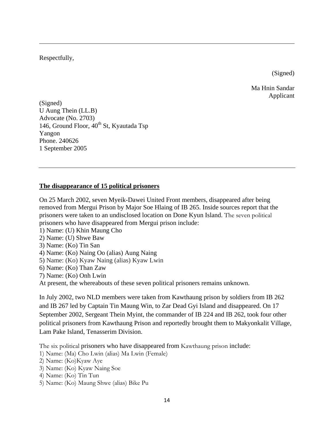Respectfully,

(Signed)

Ma Hnin Sandar Applicant

(Signed) U Aung Thein (LL.B) Advocate (No. 2703) 146, Ground Floor, 40<sup>th</sup> St, Kyautada Tsp Yangon Phone. 240626 1 September 2005

#### **The disappearance of 15 political prisoners**

On 25 March 2002, seven Myeik-Dawei United Front members, disappeared after being removed from Mergui Prison by Major Soe Hlaing of IB 265. Inside sources report that the prisoners were taken to an undisclosed location on Done Kyun Island. The seven political prisoners who have disappeared from Mergui prison include:

<u> Andrewski politika (za obrazu za obrazu za obrazu za obrazu za obrazu za obrazu za obrazu za obrazu za obrazu</u>

- 1) Name: (U) Khin Maung Cho
- 2) Name: (U) Shwe Baw
- 3) Name: (Ko) Tin San
- 4) Name: (Ko) Naing Oo (alias) Aung Naing
- 5) Name: (Ko) Kyaw Naing (alias) Kyaw Lwin
- 6) Name: (Ko) Than Zaw
- 7) Name: (Ko) Onh Lwin

At present, the whereabouts of these seven political prisoners remains unknown.

In July 2002, two NLD members were taken from Kawthaung prison by soldiers from IB 262 and IB 267 led by Captain Tin Maung Win, to Zar Dead Gyi Island and disappeared. On 17 September 2002, Sergeant Thein Myint, the commander of IB 224 and IB 262, took four other political prisoners from Kawthaung Prison and reportedly brought them to Makyonkalit Village, Lam Pake Island, Tenasserim Division.

The six political prisoners who have disappeared from Kawthaung prison include:

- 1) Name: (Ma) Cho Lwin (alias) Ma Lwin (Female)
- 2) Name: (Ko)Kyaw Aye
- 3) Name: (Ko) Kyaw Naing Soe
- 4) Name: (Ko) Tin Tun
- 5) Name: (Ko) Maung Shwe (alias) Bike Pu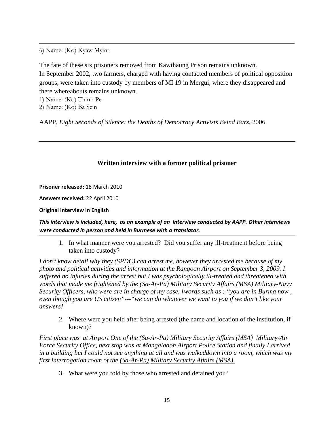6) Name: (Ko) Kyaw Myint

The fate of these six prisoners removed from Kawthaung Prison remains unknown. In September 2002, two farmers, charged with having contacted members of political opposition groups, were taken into custody by members of MI 19 in Mergui, where they disappeared and there whereabouts remains unknown.

<u> Andrewski politika (za obrazu za obrazu za obrazu za obrazu za obrazu za obrazu za obrazu za obrazu za obrazu</u>

1) Name: (Ko) Thinn Pe

2) Name: (Ko) Ba Sein

AAPP, *Eight Seconds of Silence: the Deaths of Democracy Activists Beind Bars*, 2006.

#### **Written interview with a former political prisoner**

**Prisoner released:** 18 March 2010

**Answers received:** 22 April 2010

**Original interview in English** 

This interview is included, here, as an example of an interview conducted by AAPP. Other interviews *were conducted in person and held in Burmese with a translator.*

1. In what manner were you arrested? Did you suffer any ill-treatment before being taken into custody?

*I don't know detail why they (SPDC) can arrest me, however they arrested me because of my photo and political activities and information at the Rangoon Airport on September 3, 2009. I suffered no injuries during the arrest but I was psychologically ill-treated and threatened with words that made me frightened by the (Sa-Ar-Pa) Military Security Affairs (MSA) Military-Navy Security Officers, who were are in charge of my case. [words such as : "you are in Burma now , even though you are US citizen"---"we can do whatever we want to you if we don't like your answers]* 

2. Where were you held after being arrested (the name and location of the institution, if known)?

*First place was at Airport One of the (Sa-Ar-Pa) Military Security Affairs (MSA) Military-Air Force Security Office, next stop was at Mangaladon Airport Police Station and finally I arrived in a building but I could not see anything at all and was walkeddown into a room, which was my first interrogation room of the*  $(Sa-Ar-Pa)$  *Military Security Affairs (MSA).* 

3. What were you told by those who arrested and detained you?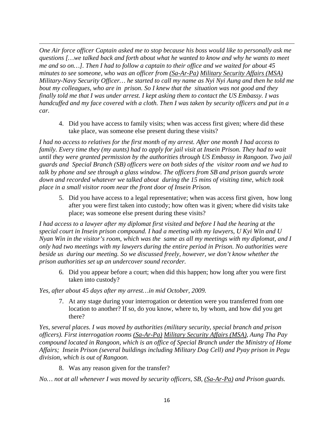*One Air force officer Captain asked me to stop because his boss would like to personally ask me questions […we talked back and forth about what he wanted to know and why he wants to meet me and so on…]. Then I had to follow a captain to their office and we waited for about 45 minutes to see someone, who was an officer from*  $(Sa-Ar-Pa)$  *Military Security Affairs (MSA) Military-Navy Security Officer… he started to call my name as Nyi Nyi Aung and then he told me bout my colleagues, who are in prison. So I knew that the situation was not good and they finally told me that I was under arrest. I kept asking them to contact the US Embassy. I was handcuffed and my face covered with a cloth. Then I was taken by security officers and put in a car.* 

<u> Andrewski politika (za obrazu za obrazu za obrazu za obrazu za obrazu za obrazu za obrazu za obrazu za obrazu</u>

4. Did you have access to family visits; when was access first given; where did these take place, was someone else present during these visits?

*I had no access to relatives for the first month of my arrest. After one month I had access to family. Every time they (my aunts) had to apply for jail visit at Insein Prison. They had to wait until they were granted permission by the authorities through US Embassy in Rangoon. Two jail guards and Special Branch (SB) officers were on both sides of the visitor room and we had to talk by phone and see through a glass window. The officers from SB and prison guards wrote down and recorded whatever we talked about during the 15 mins of visiting time, which took place in a small visitor room near the front door of Insein Prison.* 

5. Did you have access to a legal representative; when was access first given, how long after you were first taken into custody; how often was it given; where did visits take place; was someone else present during these visits?

*I had access to a lawyer after my diplomat first visited and before I had the hearing at the special court in Insein prison compound. I had a meeting with my lawyers, U Kyi Win and U Nyan Win in the visitor's room, which was the same as all my meetings with my diplomat, and I only had two meetings with my lawyers during the entire period in Prison. No authorities were beside us during our meeting. So we discussed freely, however, we don't know whether the prison authorities set up an undercover sound recorder.* 

6. Did you appear before a court; when did this happen; how long after you were first taken into custody?

*Yes, after about 45 days after my arrest…in mid October, 2009.* 

7. At any stage during your interrogation or detention were you transferred from one location to another? If so, do you know, where to, by whom, and how did you get there?

*Yes, several places. I was moved by authorities (military security, special branch and prison officers). First interrogation rooms* U*(Sa-Ar-Pa)*<sup>U</sup> <sup>U</sup>*Military Security Affairs (MSA)*U*, Aung Tha Pay compound located in Rangoon, which is an office of Special Branch under the Ministry of Home Affairs; Insein Prison (several buildings including Military Dog Cell) and Pyay prison in Pegu division, which is out of Rangoon.* 

8. Was any reason given for the transfer?

*No... not at all whenever I was moved by security officers, SB, (Sa-Ar-Pa) and Prison guards.*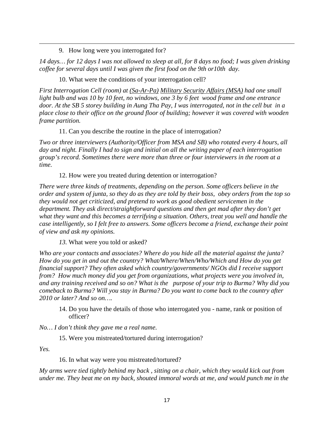9. How long were you interrogated for?

*14 days… for 12 days I was not allowed to sleep at all, for 8 days no food; I was given drinking coffee for several days until I was given the first food on the 9th or10th day.* 

<u> Andrewski politika (za obrazu za obrazu za obrazu za obrazu za obrazu za obrazu za obrazu za obrazu za obrazu</u>

10. What were the conditions of your interrogation cell?

*First Interrogation Cell (room) at*  $(Sa-Ar-Pa)$  *Military Security Affairs (MSA)* had one small *light bulb and was 10 by 10 feet, no windows, one 3 by 6 feet wood frame and one entrance door. At the SB 5 storey building in Aung Tha Pay, I was interrogated, not in the cell but in a place close to their office on the ground floor of building; however it was covered with wooden frame partition.* 

11. Can you describe the routine in the place of interrogation?

*Two or three interviewers (Authority/Officer from MSA and SB) who rotated every 4 hours, all day and night. Finally I had to sign and initial on all the writing paper of each interrogation group's record. Sometimes there were more than three or four interviewers in the room at a time.* 

12. How were you treated during detention or interrogation?

*There were three kinds of treatments, depending on the person. Some officers believe in the order and system of junta, so they do as they are told by their boss, obey orders from the top so they would not get criticized, and pretend to work as good obedient servicemen in the department. They ask direct/straightforward questions and then get mad after they don't get what they want and this becomes a terrifying a situation. Others, treat you well and handle the case intelligently, so I felt free to answers. Some officers become a friend, exchange their point of view and ask my opinions.* 

*13.* What were you told or asked?

*Who are your contacts and associates? Where do you hide all the material against the junta? How do you get in and out the country? What/Where/When/Who/Which and How do you get financial support? They often asked which country/governments/ NGOs did I receive support from? How much money did you get from organizations, what projects were you involved in, and any training received and so on? What is the purpose of your trip to Burma? Why did you comeback to Burma? Will you stay in Burma? Do you want to come back to the country after 2010 or later? And so on….* 

14. Do you have the details of those who interrogated you - name, rank or position of officer?

*No… I don't think they gave me a real name.* 

15. Were you mistreated/tortured during interrogation?

*Yes.* 

16. In what way were you mistreated/tortured?

*My arms were tied tightly behind my back , sitting on a chair, which they would kick out from under me. They beat me on my back, shouted immoral words at me, and would punch me in the*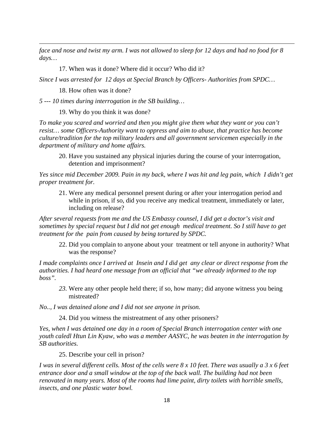*face and nose and twist my arm. I was not allowed to sleep for 12 days and had no food for 8 days…* 

<u> Andrewski politika (za obrazu za obrazu za obrazu za obrazu za obrazu za obrazu za obrazu za obrazu za obrazu</u>

17. When was it done? Where did it occur? Who did it?

*Since I was arrested for 12 days at Special Branch by Officers- Authorities from SPDC…* 

18. How often was it done?

*5 --- 10 times during interrogation in the SB building…* 

19. Why do you think it was done?

*To make you scared and worried and then you might give them what they want or you can't resist… some Officers-Authority want to oppress and aim to abuse, that practice has become culture/tradition for the top military leaders and all government servicemen especially in the department of military and home affairs.* 

20. Have you sustained any physical injuries during the course of your interrogation, detention and imprisonment?

*Yes since mid December 2009. Pain in my back, where I was hit and leg pain, which I didn't get proper treatment for.* 

21. Were any medical personnel present during or after your interrogation period and while in prison, if so, did you receive any medical treatment, immediately or later, including on release?

*After several requests from me and the US Embassy counsel, I did get a doctor's visit and sometimes by special request but I did not get enough medical treatment. So I still have to get treatment for the pain from caused by being tortured by SPDC.* 

22. Did you complain to anyone about your treatment or tell anyone in authority? What was the response?

*I made complaints once I arrived at Insein and I did get any clear or direct response from the authorities. I had heard one message from an official that "we already informed to the top boss".* 

*23.* Were any other people held there; if so, how many; did anyone witness you being mistreated?

*No.., I was detained alone and I did not see anyone in prison.* 

24. Did you witness the mistreatment of any other prisoners?

*Yes, when I was detained one day in a room of Special Branch interrogation center with one youth caledl Htun Lin Kyaw, who was a member AASYC, he was beaten in the interrogation by SB authorities.* 

25. Describe your cell in prison?

*I was in several different cells. Most of the cells were 8 x 10 feet. There was usually a 3 x 6 feet entrance door and a small window at the top of the back wall. The building had not been renovated in many years. Most of the rooms had lime paint, dirty toilets with horrible smells, insects, and one plastic water bowl.*